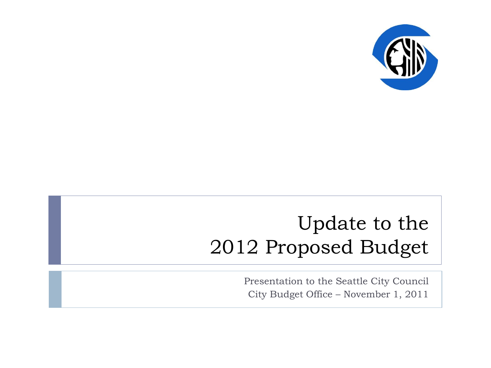

### Update to the 2012 Proposed Budget

Presentation to the Seattle City Council City Budget Office – November 1, 2011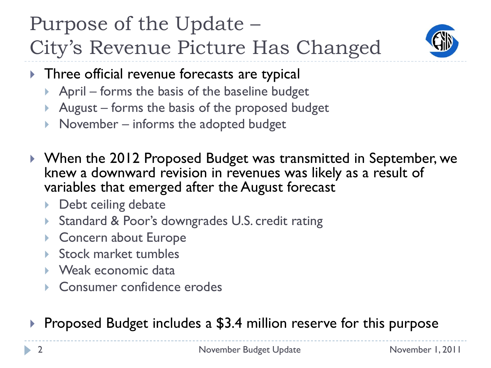### Purpose of the Update – City's Revenue Picture Has Changed



- **Three official revenue forecasts are typical** 
	- April forms the basis of the baseline budget
	- August forms the basis of the proposed budget
	- November informs the adopted budget
- ▶ When the 2012 Proposed Budget was transmitted in September, we knew a downward revision in revenues was likely as a result of variables that emerged after the August forecast
	- ▶ Debt ceiling debate
	- Standard & Poor's downgrades U.S. credit rating
	- ▶ Concern about Europe
	- Stock market tumbles
	- ▶ Weak economic data
	- ▶ Consumer confidence erodes

▶ Proposed Budget includes a \$3.4 million reserve for this purpose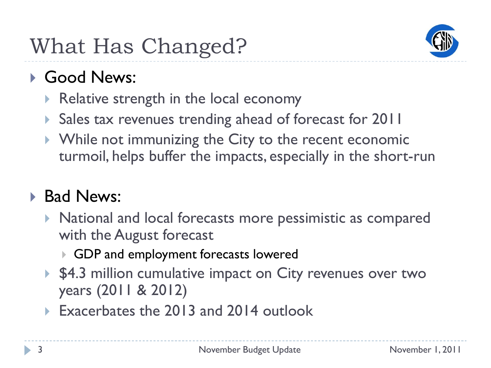

#### Good News:

- Relative strength in the local economy
- ▶ Sales tax revenues trending ahead of forecast for 2011
- ▶ While not immunizing the City to the recent economic turmoil, helps buffer the impacts, especially in the short-run

#### **Bad News:**

- National and local forecasts more pessimistic as compared with the August forecast
	- GDP and employment forecasts lowered
- ▶ \$4.3 million cumulative impact on City revenues over two years (2011 & 2012)
- ▶ Exacerbates the 2013 and 2014 outlook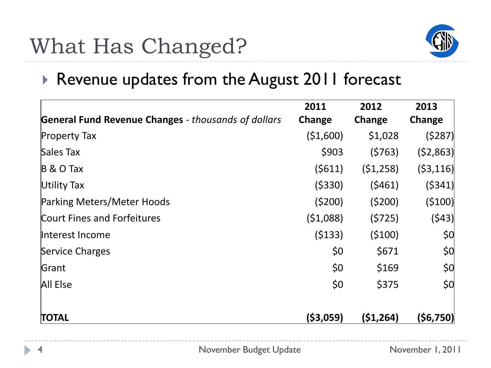

#### ▶ Revenue updates from the August 2011 forecast

|                                                            | 2011       | 2012      | 2013      |
|------------------------------------------------------------|------------|-----------|-----------|
| <b>General Fund Revenue Changes</b> - thousands of dollars | Change     | Change    | Change    |
| <b>Property Tax</b>                                        | (51,600)   | \$1,028   | (5287)    |
| Sales Tax                                                  | \$903      | (5763)    | (52,863)  |
| $B \& O$ Tax                                               | (5611)     | (51, 258) | (53, 116) |
| Utility Tax                                                | ( \$330)   | (5461)    | (5341)    |
| Parking Meters/Meter Hoods                                 | (5200)     | (5200)    | (5100)    |
| <b>Court Fines and Forfeitures</b>                         | (51,088)   | (5725)    | (543)     |
| Interest Income                                            | (5133)     | (5100)    | \$0       |
| Service Charges                                            | \$0        | \$671     | 50        |
| Grant                                                      | \$0        | \$169     | 50        |
| All Else                                                   | \$0        | \$375     | \$0       |
| <b>TOTAL</b>                                               | ( \$3,059) | (51, 264) | (\$6,750) |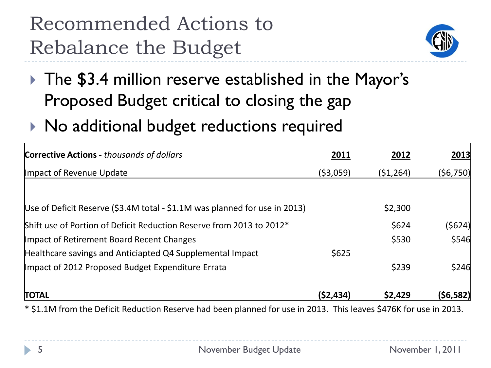## Recommended Actions to Rebalance the Budget



- ▶ The \$3.4 million reserve established in the Mayor's Proposed Budget critical to closing the gap
- $\triangleright$  No additional budget reductions required

| <b>Corrective Actions - thousands of dollars</b>                           | 2011       | 2012      | 2013           |
|----------------------------------------------------------------------------|------------|-----------|----------------|
| Impact of Revenue Update                                                   | ( \$3,059) | (51, 264) | (56, 750)      |
|                                                                            |            |           |                |
| Use of Deficit Reserve (\$3.4M total - \$1.1M was planned for use in 2013) |            | \$2,300   |                |
| Shift use of Portion of Deficit Reduction Reserve from 2013 to 2012*       |            | \$624     | $($ \$624) $ $ |
| Impact of Retirement Board Recent Changes                                  |            | \$530     | \$546          |
| Healthcare savings and Anticiapted Q4 Supplemental Impact                  | \$625      |           |                |
| Impact of 2012 Proposed Budget Expenditure Errata                          |            | \$239     | \$246          |
| <b>TOTAL</b>                                                               | (52, 434)  | \$2,429   | (56, 582)      |

\* \$1.1M from the Deficit Reduction Reserve had been planned for use in 2013. This leaves \$476K for use in 2013.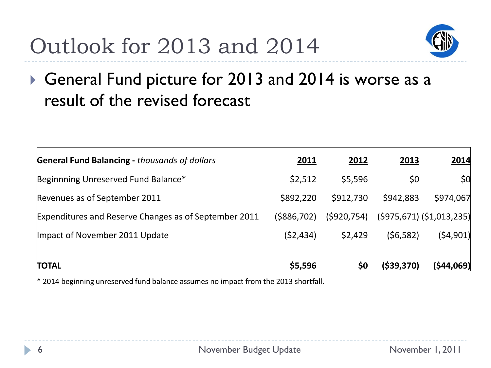# Outlook for 2013 and 2014



#### ▶ General Fund picture for 2013 and 2014 is worse as a result of the revised forecast

| <b>General Fund Balancing - thousands of dollars</b>  | <u>2011</u>   | 2012        | <u>2013</u> | 2014                           |
|-------------------------------------------------------|---------------|-------------|-------------|--------------------------------|
| Beginnning Unreserved Fund Balance*                   | \$2,512       | \$5,596     | \$0         | 50 <sup>2</sup>                |
| Revenues as of September 2011                         | \$892,220     | \$912,730   | \$942,883   | \$974,067                      |
| Expenditures and Reserve Changes as of September 2011 | ( \$886, 702) | (5920, 754) |             | $(5975, 671)$ $(51, 013, 235)$ |
| Impact of November 2011 Update                        | (52, 434)     | \$2,429     | (56, 582)   | (54,901)                       |
| <b>TOTAL</b>                                          | \$5,596       | \$0         | ( \$39,370) | (544,069)                      |

\* 2014 beginning unreserved fund balance assumes no impact from the 2013 shortfall.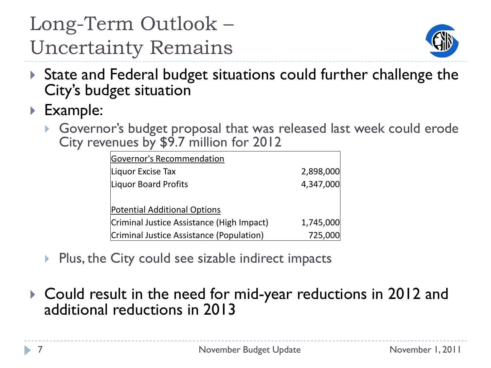## Long-Term Outlook – Uncertainty Remains



- State and Federal budget situations could further challenge the City's budget situation
- ▶ Example:
	- Governor's budget proposal that was released last week could erode City revenues by \$9.7 million for 2012

| Governor's Recommendation                 |           |  |  |
|-------------------------------------------|-----------|--|--|
| Liquor Excise Tax                         | 2,898,000 |  |  |
| Liquor Board Profits                      | 4,347,000 |  |  |
|                                           |           |  |  |
| <b>Potential Additional Options</b>       |           |  |  |
| Criminal Justice Assistance (High Impact) | 1,745,000 |  |  |
| Criminal Justice Assistance (Population)  | 725,000   |  |  |

- $\triangleright$  Plus, the City could see sizable indirect impacts
- Could result in the need for mid-year reductions in 2012 and additional reductions in 2013